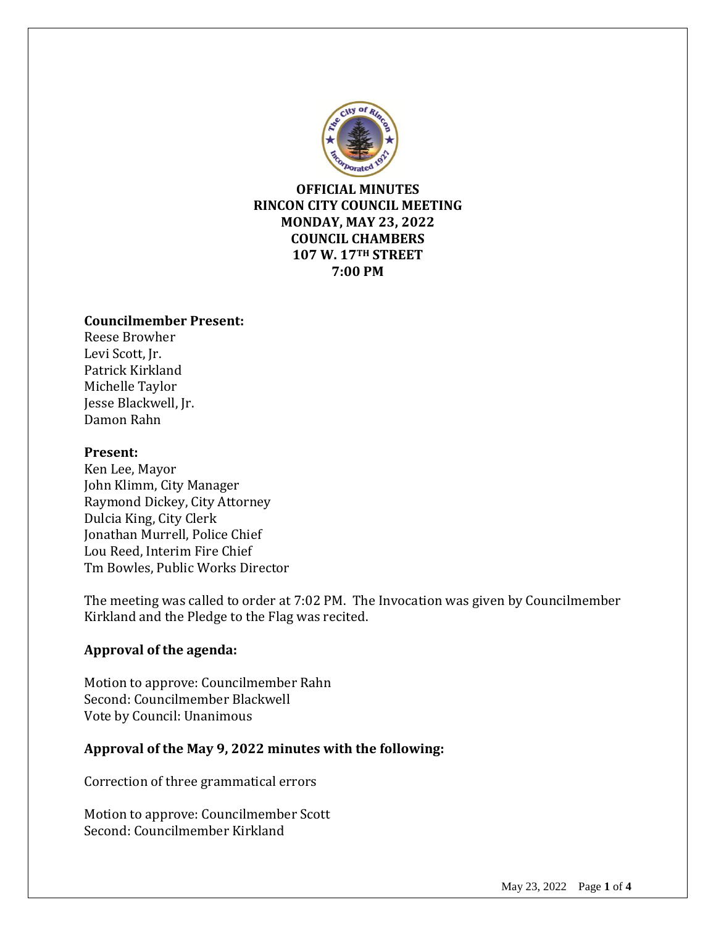

**OFFICIAL MINUTES RINCON CITY COUNCIL MEETING MONDAY, MAY 23, 2022 COUNCIL CHAMBERS 107 W. 17TH STREET 7:00 PM**

#### **Councilmember Present:**

Reese Browher Levi Scott, Jr. Patrick Kirkland Michelle Taylor Jesse Blackwell, Jr. Damon Rahn

#### **Present:**

Ken Lee, Mayor John Klimm, City Manager Raymond Dickey, City Attorney Dulcia King, City Clerk Jonathan Murrell, Police Chief Lou Reed, Interim Fire Chief Tm Bowles, Public Works Director

The meeting was called to order at 7:02 PM. The Invocation was given by Councilmember Kirkland and the Pledge to the Flag was recited.

## **Approval of the agenda:**

Motion to approve: Councilmember Rahn Second: Councilmember Blackwell Vote by Council: Unanimous

## **Approval of the May 9, 2022 minutes with the following:**

Correction of three grammatical errors

Motion to approve: Councilmember Scott Second: Councilmember Kirkland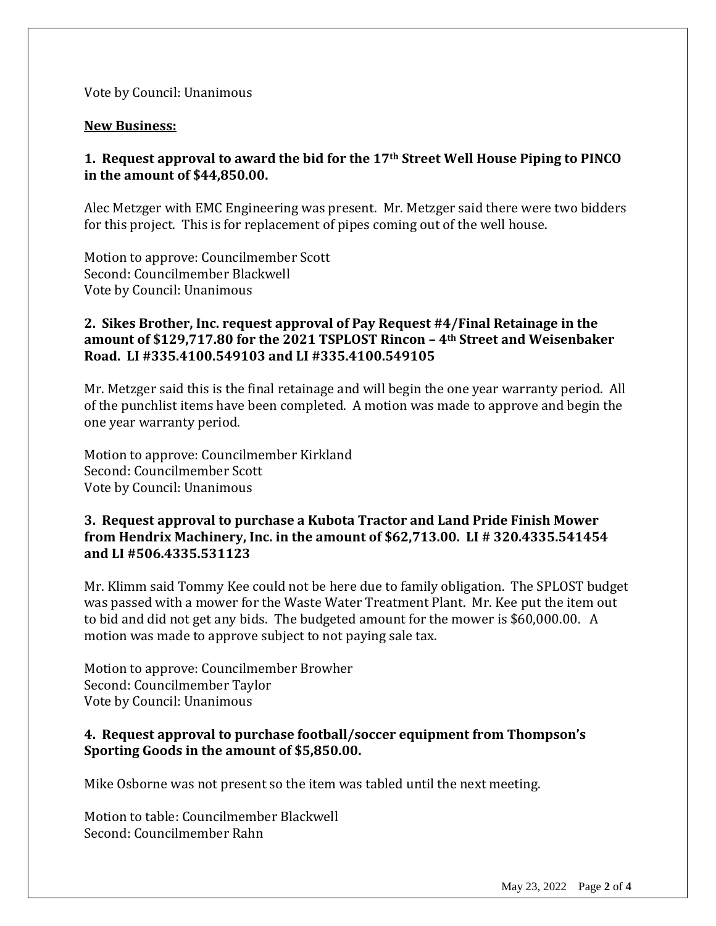Vote by Council: Unanimous

#### **New Business:**

## **1. Request approval to award the bid for the 17th Street Well House Piping to PINCO in the amount of \$44,850.00.**

Alec Metzger with EMC Engineering was present. Mr. Metzger said there were two bidders for this project. This is for replacement of pipes coming out of the well house.

Motion to approve: Councilmember Scott Second: Councilmember Blackwell Vote by Council: Unanimous

## **2. Sikes Brother, Inc. request approval of Pay Request #4/Final Retainage in the amount of \$129,717.80 for the 2021 TSPLOST Rincon – 4th Street and Weisenbaker Road. LI #335.4100.549103 and LI #335.4100.549105**

Mr. Metzger said this is the final retainage and will begin the one year warranty period. All of the punchlist items have been completed. A motion was made to approve and begin the one year warranty period.

Motion to approve: Councilmember Kirkland Second: Councilmember Scott Vote by Council: Unanimous

### **3. Request approval to purchase a Kubota Tractor and Land Pride Finish Mower from Hendrix Machinery, Inc. in the amount of \$62,713.00. LI # 320.4335.541454 and LI #506.4335.531123**

Mr. Klimm said Tommy Kee could not be here due to family obligation. The SPLOST budget was passed with a mower for the Waste Water Treatment Plant. Mr. Kee put the item out to bid and did not get any bids. The budgeted amount for the mower is \$60,000.00. A motion was made to approve subject to not paying sale tax.

Motion to approve: Councilmember Browher Second: Councilmember Taylor Vote by Council: Unanimous

## **4. Request approval to purchase football/soccer equipment from Thompson's Sporting Goods in the amount of \$5,850.00.**

Mike Osborne was not present so the item was tabled until the next meeting.

Motion to table: Councilmember Blackwell Second: Councilmember Rahn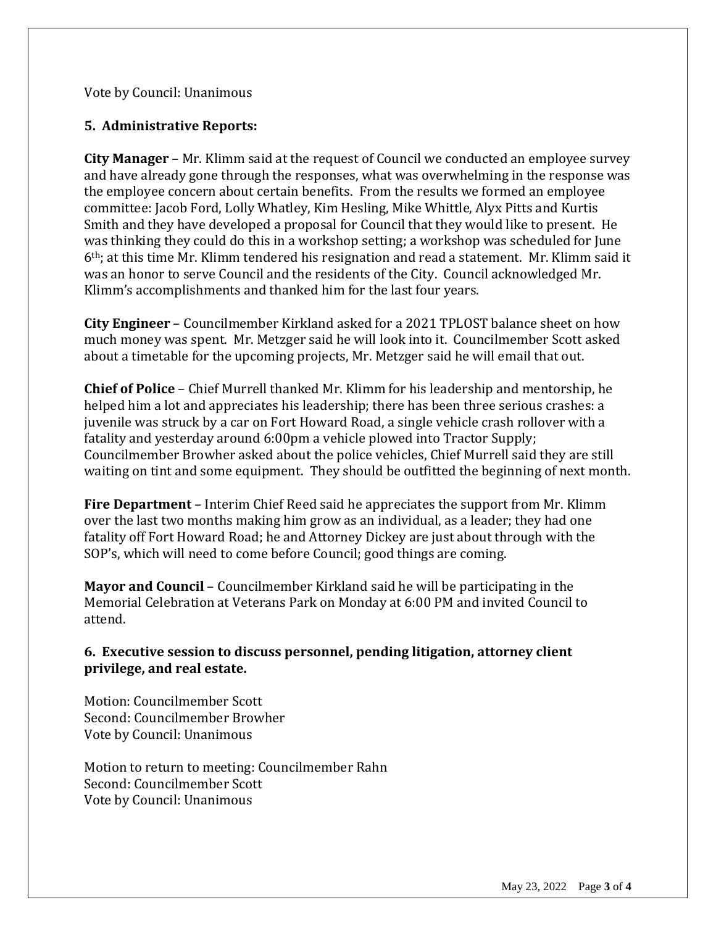Vote by Council: Unanimous

## **5. Administrative Reports:**

**City Manager** – Mr. Klimm said at the request of Council we conducted an employee survey and have already gone through the responses, what was overwhelming in the response was the employee concern about certain benefits. From the results we formed an employee committee: Jacob Ford, Lolly Whatley, Kim Hesling, Mike Whittle, Alyx Pitts and Kurtis Smith and they have developed a proposal for Council that they would like to present. He was thinking they could do this in a workshop setting; a workshop was scheduled for June 6th; at this time Mr. Klimm tendered his resignation and read a statement. Mr. Klimm said it was an honor to serve Council and the residents of the City. Council acknowledged Mr. Klimm's accomplishments and thanked him for the last four years.

**City Engineer** – Councilmember Kirkland asked for a 2021 TPLOST balance sheet on how much money was spent. Mr. Metzger said he will look into it. Councilmember Scott asked about a timetable for the upcoming projects, Mr. Metzger said he will email that out.

**Chief of Police** – Chief Murrell thanked Mr. Klimm for his leadership and mentorship, he helped him a lot and appreciates his leadership; there has been three serious crashes: a juvenile was struck by a car on Fort Howard Road, a single vehicle crash rollover with a fatality and yesterday around 6:00pm a vehicle plowed into Tractor Supply; Councilmember Browher asked about the police vehicles, Chief Murrell said they are still waiting on tint and some equipment. They should be outfitted the beginning of next month.

**Fire Department** – Interim Chief Reed said he appreciates the support from Mr. Klimm over the last two months making him grow as an individual, as a leader; they had one fatality off Fort Howard Road; he and Attorney Dickey are just about through with the SOP's, which will need to come before Council; good things are coming.

**Mayor and Council** – Councilmember Kirkland said he will be participating in the Memorial Celebration at Veterans Park on Monday at 6:00 PM and invited Council to attend.

**6. Executive session to discuss personnel, pending litigation, attorney client privilege, and real estate.**

Motion: Councilmember Scott Second: Councilmember Browher Vote by Council: Unanimous

Motion to return to meeting: Councilmember Rahn Second: Councilmember Scott Vote by Council: Unanimous